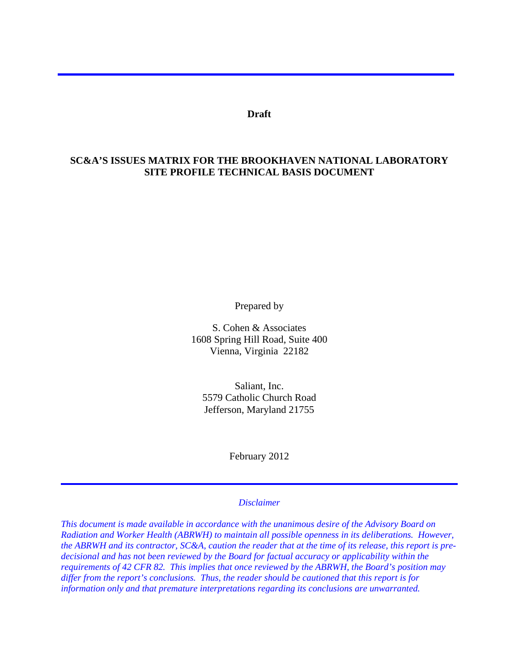**Draft** 

### **SC&A'S ISSUES MATRIX FOR THE BROOKHAVEN NATIONAL LABORATORY SITE PROFILE TECHNICAL BASIS DOCUMENT**

Prepared by

S. Cohen & Associates 1608 Spring Hill Road, Suite 400 Vienna, Virginia 22182

Saliant, Inc. 5579 Catholic Church Road Jefferson, Maryland 21755

February 2012

#### *Disclaimer*

*This document is made available in accordance with the unanimous desire of the Advisory Board on Radiation and Worker Health (ABRWH) to maintain all possible openness in its deliberations. However, the ABRWH and its contractor, SC&A, caution the reader that at the time of its release, this report is predecisional and has not been reviewed by the Board for factual accuracy or applicability within the requirements of 42 CFR 82. This implies that once reviewed by the ABRWH, the Board's position may differ from the report's conclusions. Thus, the reader should be cautioned that this report is for information only and that premature interpretations regarding its conclusions are unwarranted.*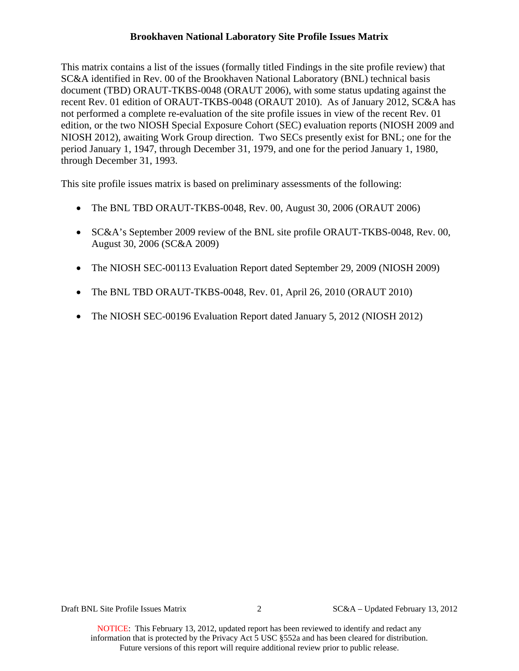This matrix contains a list of the issues (formally titled Findings in the site profile review) that SC&A identified in Rev. 00 of the Brookhaven National Laboratory (BNL) technical basis document (TBD) ORAUT-TKBS-0048 (ORAUT 2006), with some status updating against the recent Rev. 01 edition of ORAUT-TKBS-0048 (ORAUT 2010). As of January 2012, SC&A has not performed a complete re-evaluation of the site profile issues in view of the recent Rev. 01 edition, or the two NIOSH Special Exposure Cohort (SEC) evaluation reports (NIOSH 2009 and NIOSH 2012), awaiting Work Group direction. Two SECs presently exist for BNL; one for the period January 1, 1947, through December 31, 1979, and one for the period January 1, 1980, through December 31, 1993.

This site profile issues matrix is based on preliminary assessments of the following:

- The BNL TBD ORAUT-TKBS-0048, Rev. 00, August 30, 2006 (ORAUT 2006)
- SC&A's September 2009 review of the BNL site profile ORAUT-TKBS-0048, Rev. 00, August 30, 2006 (SC&A 2009)
- The NIOSH SEC-00113 Evaluation Report dated September 29, 2009 (NIOSH 2009)
- The BNL TBD ORAUT-TKBS-0048, Rev. 01, April 26, 2010 (ORAUT 2010)
- The NIOSH SEC-00196 Evaluation Report dated January 5, 2012 (NIOSH 2012)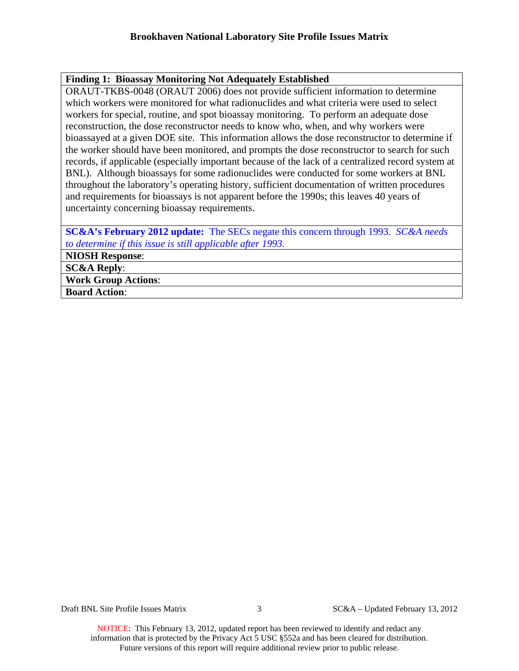## **Finding 1: Bioassay Monitoring Not Adequately Established**

ORAUT-TKBS-0048 (ORAUT 2006) does not provide sufficient information to determine which workers were monitored for what radionuclides and what criteria were used to select workers for special, routine, and spot bioassay monitoring. To perform an adequate dose reconstruction, the dose reconstructor needs to know who, when, and why workers were bioassayed at a given DOE site. This information allows the dose reconstructor to determine if the worker should have been monitored, and prompts the dose reconstructor to search for such records, if applicable (especially important because of the lack of a centralized record system at BNL). Although bioassays for some radionuclides were conducted for some workers at BNL throughout the laboratory's operating history, sufficient documentation of written procedures and requirements for bioassays is not apparent before the 1990s; this leaves 40 years of uncertainty concerning bioassay requirements.

**SC&A's February 2012 update:** The SECs negate this concern through 1993. *SC&A needs to determine if this issue is still applicable after 1993.* 

**NIOSH Response**:

**SC&A Reply**:

**Work Group Actions**:

**Board Action**: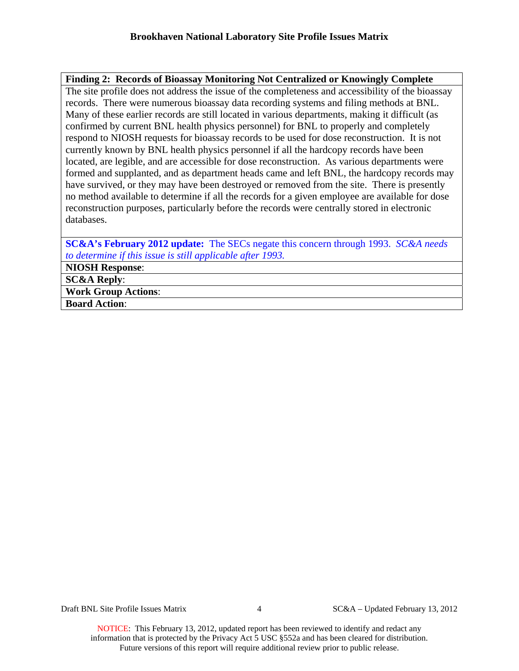# **Finding 2: Records of Bioassay Monitoring Not Centralized or Knowingly Complete**

The site profile does not address the issue of the completeness and accessibility of the bioassay records. There were numerous bioassay data recording systems and filing methods at BNL. Many of these earlier records are still located in various departments, making it difficult (as confirmed by current BNL health physics personnel) for BNL to properly and completely respond to NIOSH requests for bioassay records to be used for dose reconstruction. It is not currently known by BNL health physics personnel if all the hardcopy records have been located, are legible, and are accessible for dose reconstruction. As various departments were formed and supplanted, and as department heads came and left BNL, the hardcopy records may have survived, or they may have been destroyed or removed from the site. There is presently no method available to determine if all the records for a given employee are available for dose reconstruction purposes, particularly before the records were centrally stored in electronic databases.

**SC&A's February 2012 update:** The SECs negate this concern through 1993. *SC&A needs to determine if this issue is still applicable after 1993.*

**NIOSH Response**:

**SC&A Reply**:

**Work Group Actions**:

**Board Action**:

Draft BNL Site Profile Issues Matrix 4 SC&A – Updated February 13, 2012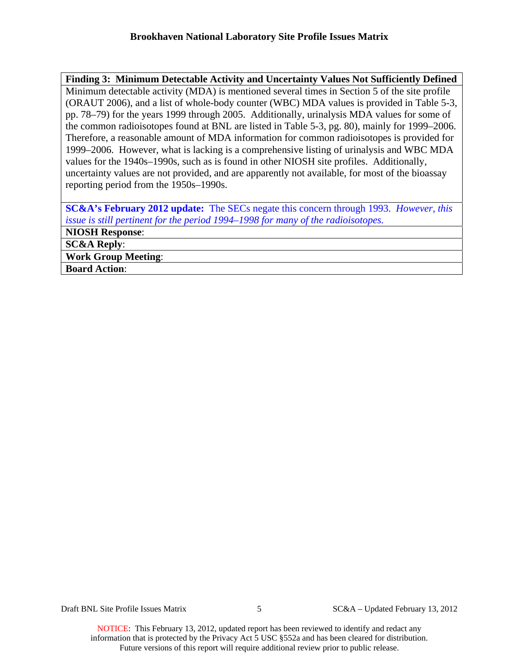# **Finding 3: Minimum Detectable Activity and Uncertainty Values Not Sufficiently Defined** Minimum detectable activity (MDA) is mentioned several times in Section 5 of the site profile (ORAUT 2006), and a list of whole-body counter (WBC) MDA values is provided in Table 5-3, pp. 78–79) for the years 1999 through 2005. Additionally, urinalysis MDA values for some of the common radioisotopes found at BNL are listed in Table 5-3, pg. 80), mainly for 1999–2006. Therefore, a reasonable amount of MDA information for common radioisotopes is provided for 1999–2006. However, what is lacking is a comprehensive listing of urinalysis and WBC MDA values for the 1940s–1990s, such as is found in other NIOSH site profiles. Additionally, uncertainty values are not provided, and are apparently not available, for most of the bioassay reporting period from the 1950s–1990s.

**SC&A's February 2012 update:** The SECs negate this concern through 1993. *However, this issue is still pertinent for the period 1994–1998 for many of the radioisotopes.*

**NIOSH Response**: **SC&A Reply**: **Work Group Meeting**:

**Board Action**: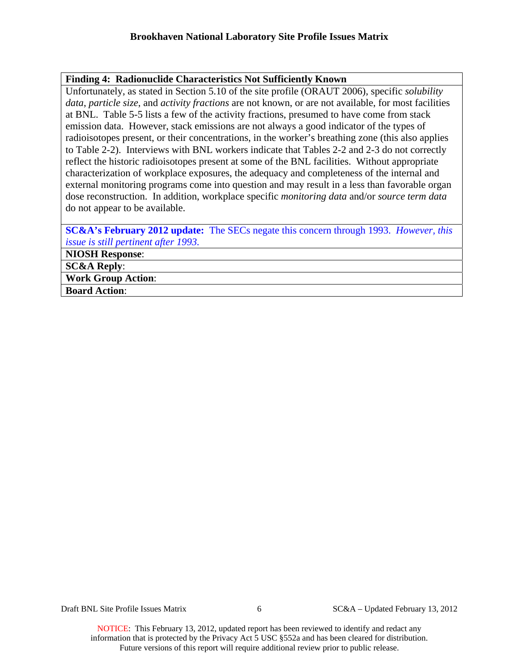#### **Finding 4: Radionuclide Characteristics Not Sufficiently Known**

Unfortunately, as stated in Section 5.10 of the site profile (ORAUT 2006), specific *solubility data*, *particle size*, and *activity fractions* are not known, or are not available, for most facilities at BNL. Table 5-5 lists a few of the activity fractions, presumed to have come from stack emission data. However, stack emissions are not always a good indicator of the types of radioisotopes present, or their concentrations, in the worker's breathing zone (this also applies to Table 2-2). Interviews with BNL workers indicate that Tables 2-2 and 2-3 do not correctly reflect the historic radioisotopes present at some of the BNL facilities. Without appropriate characterization of workplace exposures, the adequacy and completeness of the internal and external monitoring programs come into question and may result in a less than favorable organ dose reconstruction. In addition, workplace specific *monitoring data* and/or *source term data* do not appear to be available.

**SC&A's February 2012 update:** The SECs negate this concern through 1993. *However, this issue is still pertinent after 1993.*

**NIOSH Response**:

**SC&A Reply**:

**Work Group Action**:

**Board Action**:

Draft BNL Site Profile Issues Matrix 6 SC&A – Updated February 13, 2012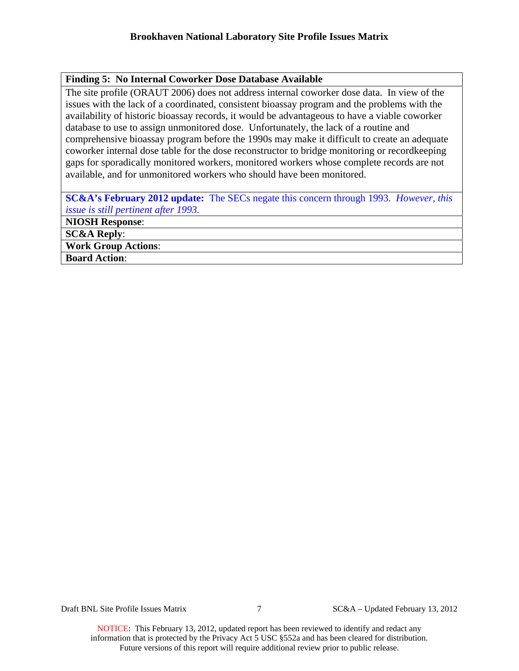# **Finding 5: No Internal Coworker Dose Database Available**

The site profile (ORAUT 2006) does not address internal coworker dose data. In view of the issues with the lack of a coordinated, consistent bioassay program and the problems with the availability of historic bioassay records, it would be advantageous to have a viable coworker database to use to assign unmonitored dose. Unfortunately, the lack of a routine and comprehensive bioassay program before the 1990s may make it difficult to create an adequate coworker internal dose table for the dose reconstructor to bridge monitoring or recordkeeping gaps for sporadically monitored workers, monitored workers whose complete records are not available, and for unmonitored workers who should have been monitored.

**SC&A's February 2012 update:** The SECs negate this concern through 1993. *However, this issue is still pertinent after 1993.*

**NIOSH Response**:

**SC&A Reply**:

**Work Group Actions**:

**Board Action**: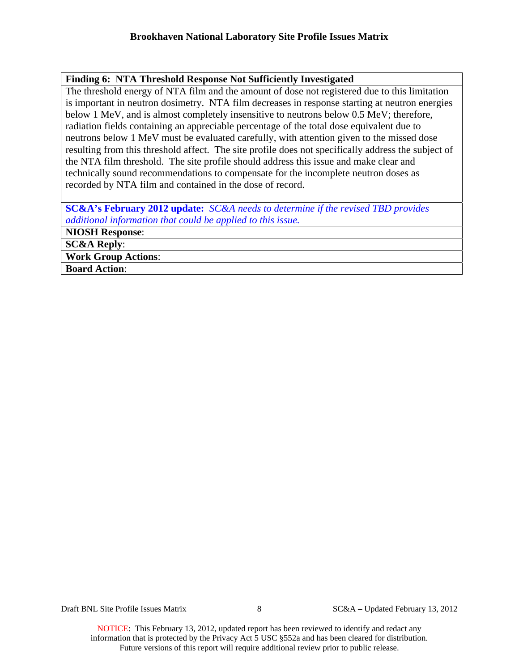### **Finding 6: NTA Threshold Response Not Sufficiently Investigated**

The threshold energy of NTA film and the amount of dose not registered due to this limitation is important in neutron dosimetry. NTA film decreases in response starting at neutron energies below 1 MeV, and is almost completely insensitive to neutrons below 0.5 MeV; therefore, radiation fields containing an appreciable percentage of the total dose equivalent due to neutrons below 1 MeV must be evaluated carefully, with attention given to the missed dose resulting from this threshold affect. The site profile does not specifically address the subject of the NTA film threshold. The site profile should address this issue and make clear and technically sound recommendations to compensate for the incomplete neutron doses as recorded by NTA film and contained in the dose of record.

**SC&A's February 2012 update:** *SC&A needs to determine if the revised TBD provides additional information that could be applied to this issue.*

**NIOSH Response**: **SC&A Reply**:

**Work Group Actions**:

**Board Action**: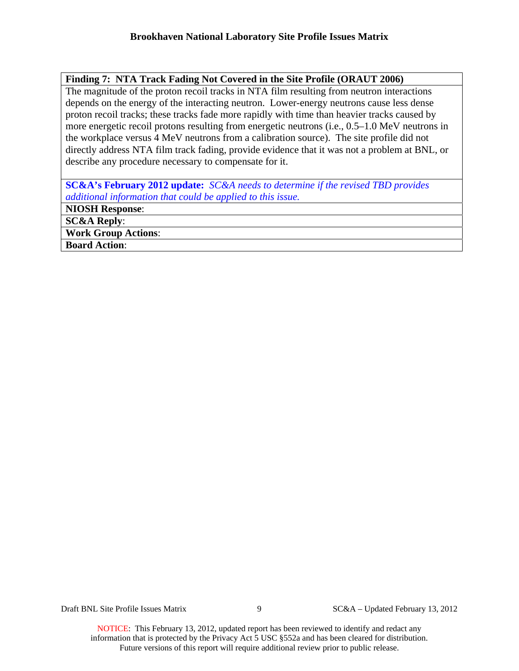### **Finding 7: NTA Track Fading Not Covered in the Site Profile (ORAUT 2006)**

The magnitude of the proton recoil tracks in NTA film resulting from neutron interactions depends on the energy of the interacting neutron. Lower-energy neutrons cause less dense proton recoil tracks; these tracks fade more rapidly with time than heavier tracks caused by more energetic recoil protons resulting from energetic neutrons (i.e., 0.5–1.0 MeV neutrons in the workplace versus 4 MeV neutrons from a calibration source). The site profile did not directly address NTA film track fading, provide evidence that it was not a problem at BNL, or describe any procedure necessary to compensate for it.

**SC&A's February 2012 update:** *SC&A needs to determine if the revised TBD provides additional information that could be applied to this issue.*

**NIOSH Response**:

**SC&A Reply**:

**Work Group Actions**:

**Board Action**:

Draft BNL Site Profile Issues Matrix 9 SC&A – Updated February 13, 2012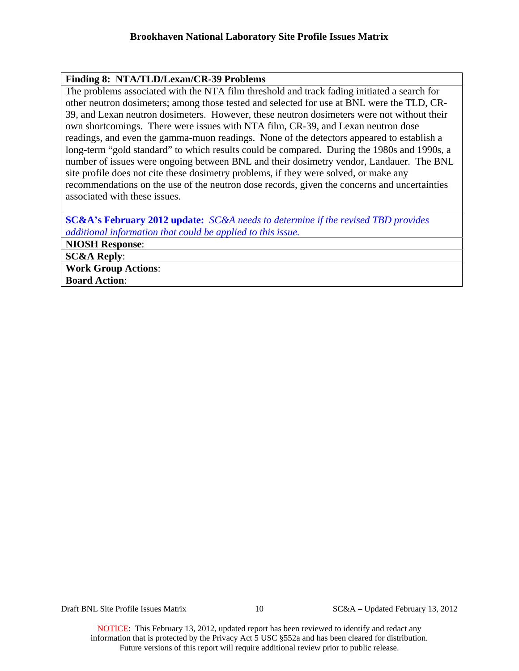#### **Finding 8: NTA/TLD/Lexan/CR-39 Problems**

The problems associated with the NTA film threshold and track fading initiated a search for other neutron dosimeters; among those tested and selected for use at BNL were the TLD, CR-39, and Lexan neutron dosimeters. However, these neutron dosimeters were not without their own shortcomings. There were issues with NTA film, CR-39, and Lexan neutron dose readings, and even the gamma-muon readings. None of the detectors appeared to establish a long-term "gold standard" to which results could be compared. During the 1980s and 1990s, a number of issues were ongoing between BNL and their dosimetry vendor, Landauer. The BNL site profile does not cite these dosimetry problems, if they were solved, or make any recommendations on the use of the neutron dose records, given the concerns and uncertainties associated with these issues.

**SC&A's February 2012 update:** *SC&A needs to determine if the revised TBD provides additional information that could be applied to this issue.*

**NIOSH Response**:

**SC&A Reply**:

**Work Group Actions**:

**Board Action**:

Draft BNL Site Profile Issues Matrix 10 SC&A – Updated February 13, 2012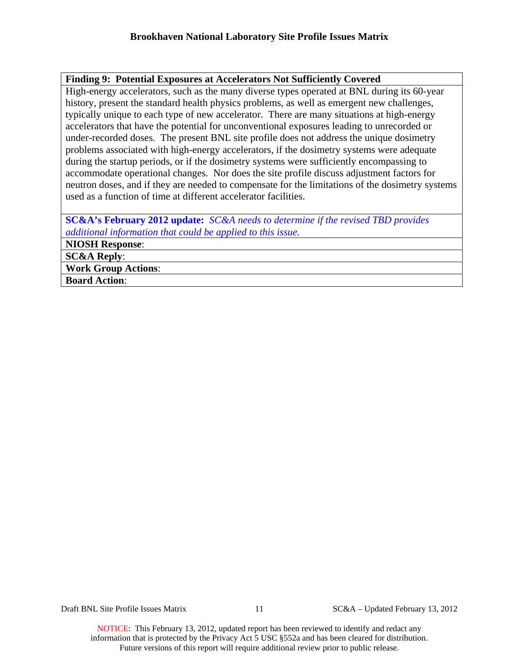## **Finding 9: Potential Exposures at Accelerators Not Sufficiently Covered**

High-energy accelerators, such as the many diverse types operated at BNL during its 60-year history, present the standard health physics problems, as well as emergent new challenges, typically unique to each type of new accelerator. There are many situations at high-energy accelerators that have the potential for unconventional exposures leading to unrecorded or under-recorded doses. The present BNL site profile does not address the unique dosimetry problems associated with high-energy accelerators, if the dosimetry systems were adequate during the startup periods, or if the dosimetry systems were sufficiently encompassing to accommodate operational changes. Nor does the site profile discuss adjustment factors for neutron doses, and if they are needed to compensate for the limitations of the dosimetry systems used as a function of time at different accelerator facilities.

**SC&A's February 2012 update:** *SC&A needs to determine if the revised TBD provides additional information that could be applied to this issue.*

**NIOSH Response**:

**SC&A Reply**:

**Work Group Actions**:

**Board Action**: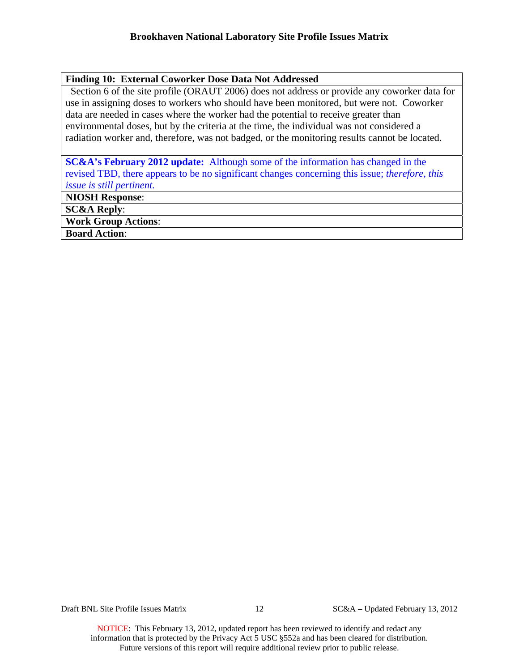# **Finding 10: External Coworker Dose Data Not Addressed**

Section 6 of the site profile (ORAUT 2006) does not address or provide any coworker data for use in assigning doses to workers who should have been monitored, but were not. Coworker data are needed in cases where the worker had the potential to receive greater than environmental doses, but by the criteria at the time, the individual was not considered a radiation worker and, therefore, was not badged, or the monitoring results cannot be located.

**SC&A's February 2012 update:** Although some of the information has changed in the revised TBD, there appears to be no significant changes concerning this issue; *therefore, this issue is still pertinent.*

**NIOSH Response**:

**SC&A Reply**:

**Work Group Actions**:

**Board Action**:

Draft BNL Site Profile Issues Matrix 12 SC&A – Updated February 13, 2012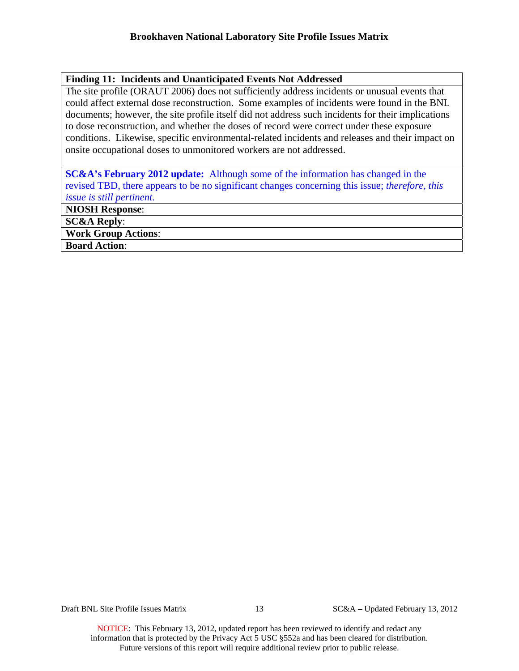### **Finding 11: Incidents and Unanticipated Events Not Addressed**

The site profile (ORAUT 2006) does not sufficiently address incidents or unusual events that could affect external dose reconstruction. Some examples of incidents were found in the BNL documents; however, the site profile itself did not address such incidents for their implications to dose reconstruction, and whether the doses of record were correct under these exposure conditions. Likewise, specific environmental-related incidents and releases and their impact on onsite occupational doses to unmonitored workers are not addressed.

**SC&A's February 2012 update:** Although some of the information has changed in the revised TBD, there appears to be no significant changes concerning this issue; *therefore, this issue is still pertinent.*

**NIOSH Response**:

**SC&A Reply**:

**Work Group Actions**:

**Board Action**:

Draft BNL Site Profile Issues Matrix 13 SC&A – Updated February 13, 2012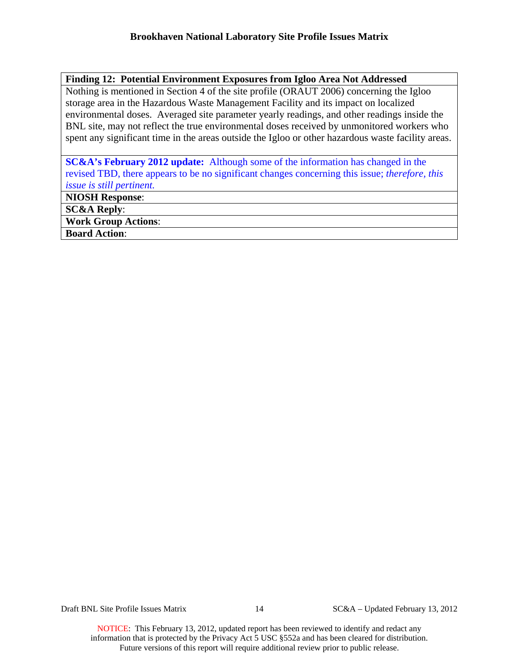# **Finding 12: Potential Environment Exposures from Igloo Area Not Addressed**

Nothing is mentioned in Section 4 of the site profile (ORAUT 2006) concerning the Igloo storage area in the Hazardous Waste Management Facility and its impact on localized environmental doses. Averaged site parameter yearly readings, and other readings inside the BNL site, may not reflect the true environmental doses received by unmonitored workers who spent any significant time in the areas outside the Igloo or other hazardous waste facility areas.

## **SC&A's February 2012 update:** Although some of the information has changed in the revised TBD, there appears to be no significant changes concerning this issue; *therefore, this issue is still pertinent.*

**NIOSH Response**:

**SC&A Reply**:

**Work Group Actions**:

**Board Action**:

Draft BNL Site Profile Issues Matrix 14 SC&A – Updated February 13, 2012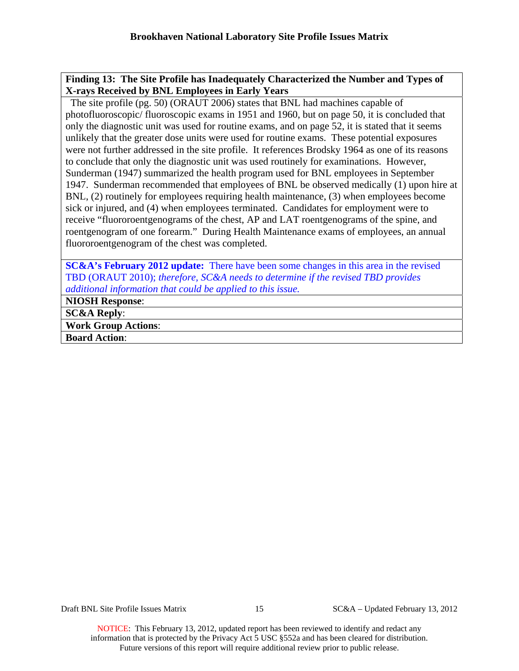## **Finding 13: The Site Profile has Inadequately Characterized the Number and Types of X-rays Received by BNL Employees in Early Years**

The site profile (pg. 50) (ORAUT 2006) states that BNL had machines capable of photofluoroscopic/ fluoroscopic exams in 1951 and 1960, but on page 50, it is concluded that only the diagnostic unit was used for routine exams, and on page 52, it is stated that it seems unlikely that the greater dose units were used for routine exams. These potential exposures were not further addressed in the site profile. It references Brodsky 1964 as one of its reasons to conclude that only the diagnostic unit was used routinely for examinations. However, Sunderman (1947) summarized the health program used for BNL employees in September 1947. Sunderman recommended that employees of BNL be observed medically (1) upon hire at BNL, (2) routinely for employees requiring health maintenance, (3) when employees become sick or injured, and (4) when employees terminated. Candidates for employment were to receive "fluororoentgenograms of the chest, AP and LAT roentgenograms of the spine, and roentgenogram of one forearm." During Health Maintenance exams of employees, an annual fluororoentgenogram of the chest was completed.

**SC&A's February 2012 update:** There have been some changes in this area in the revised TBD (ORAUT 2010); *therefore, SC&A needs to determine if the revised TBD provides additional information that could be applied to this issue.*

**NIOSH Response**:

**SC&A Reply**:

**Work Group Actions**:

**Board Action**:

Draft BNL Site Profile Issues Matrix 15 SC&A – Updated February 13, 2012